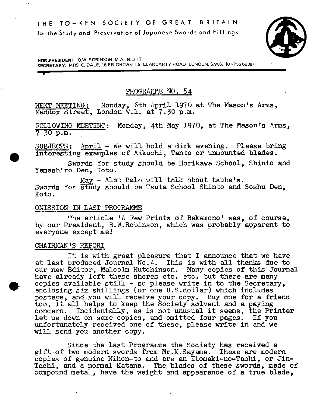

HON.PRESIDENT. B.W. ROBINSON. M.A.. B.LITT. SECRETARY. MRS. C. DALE, 16 BRIGHTWELLS CLANCARTY ROAD LONDON. S.W.6. 01-736 6838)

# PROGRMWIE NO. 54

NEXT MEETING: Monday, 6th April 1970 at The Mason's Arms, Maddox Street, London W.l. at 7.30 p.m.

FOLLOWING MEETING: Monday, 4th May 1970, at The Mason's Arms.  $7, 30, p.m.$ 

SUBJECTS: April - We will hold a dirk evening. Please bring . interesting examples of Aikuchi, Tanto or unmounted blades.

Swords for study should be Horikawa School. Shinto and Yamashiro Den, Koto.

May - Alcn Balo will talk about tsuba's. Swords for study should be Tsuta School Shinto and Soshu Den. Koto.

## OMISSION IN LAST PROGRAMME

The article 'A Few Prints of Bakemono' was, of course, by our President, B.W.Robinson, which was probably apparent to everyone except me!

## CHAIRMAN'S REPORT

p

It is with great pleasure that I announce that we have at last produced Journal No.4.This is with all thanks due to our new Editor, Malcolm Hutchinson. Many copies of this Journal have already left these shores etc. etc. but there are many copies available still - so please write in to the Secretary, enclosing six shillings (or one U.S.dollar) which includes postage, and you will receive your copy. Buy one for a friend too., it all helps to keep the Society solvent and a paying concern. Incidentally, as is not unusual it seems, the Printer let us down on some copies, and omitted four pages. If you unfortunately received one of these, please write in and we will send you another copy.

Since the last Progranme the Society has received a gift of two modern swords from Mr.K.Sayama. These are modern copies of genuine Nihon-to and are an Itomaki-no-Tachi, or Jin-Tachi, and a normal Katana. The blades of these swords, made of compound metal, have the weight and appearance of a true blade,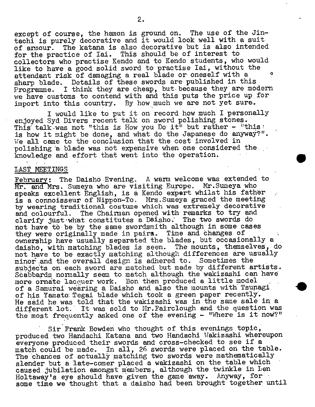except of course, the hamon is ground on. The use of the Jintachi is purely decorative and it would look well with a suit of armour. The katana is also decorative but is also intended for the practice of Iai. This should be of interest to collectors who practise Kendo and to Kendo students, who would like to have a good solid sword to practise Iai, without the attendant risk of damaging a real blade or oneself with a sharp blade. Details of these swords are published in this Programme. I think they are cheap, but because they are modern we have customs to contend with and this puts the price up for import into this country. By how much we are not yet sure.

I would like to put it on record how much I personally enjoyed Syd Divers recent talk on sword polishing stones. This talk was not "this is How you Do it" but rather - "this' is how it might be done, and what do the Japanese do anyway?". We all came to the conclusion that the cost involved in polishing a blade was not expensive when one considered the knowledge and effort that went into the operation.

## LAST MEETINGS

February: The Daisho Evening. A warn welcome was extended to Mr. and Mrs. Sumeya who are visiting Europe. Mr.Suneya who speaks excellent English, is a Kendo expert whilst his father is a connoisseur of Nippon-To. Mrs.Sumeya graced the meeting by wearing traditional costume which was extremely decorative and colourful. The Chairman opened with remarks to try and clarify just what constitutes a Daisho. The two swords do not have to-be by the same swordsmith although in some cases they were originally made in pairs. Time and changes of ownership have usually separated the blades, but occasionally a daisho, with matching blades is seen. The mounts, themselves, do not have to be exactly matching although differences are usually minor and the overall design is adhered to. Sometimes the subjects on each sword are matched but made by different artists. Scabbards normally seem to match although the wakizashi can have more ornate lacquer work. Bon then produced a little model of a Samurai wearing a Daisho and also the mounts with Tsupagi of his Yamato Tegai blade which took a green paper recently. He said he was told that the wakizashi was in the same sale in a different lot. It was sold to Mr.Fairclough and the question was the most frequently asked one of the evening - "Where is it now?"

Sir Frank Bowden who thought of this evenings topic, produced two Handachi Katana and two Handachi Wakizashi whereupon everyone produced their swords and cross-checked to see if a match could be made. In all, 26 swords were placed on the table. The chances of actually matching two swords were mathematically slender but a late-comer placed a wakizashi on the table which caused jubilation amongst members, although the twinkle in Len Holtaway's eye should have given the game away. Anyway, for some time we thought that a daisho had been brought together until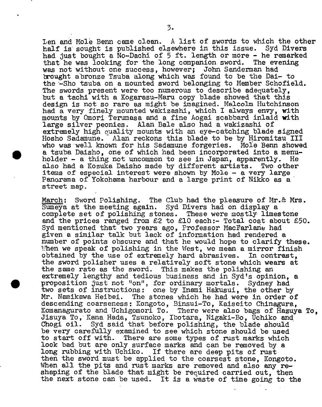Len and Mole Berm came clean. A list of swords to which the other half is sought is published elsewhere in this issue. Syd Divers had just bought a No-Dachi of 5 ft. length or more - he remarked that he was looking for the long companion sword. The evening that he was looking for the long companion sword. was not without one success, however; John Sandennan had brought abronze Tsuba along which was found to be the Dai- to the -Sho tsuba on a mounted sword belonging to Member Schofield. The swords present were too numerous to describe adequately, but a tachi with a Kogarasu-Maru copy blade showed that this design is not so rare as might be imagined. Malcolm Hutchinson had a very finely mounted wakizashi, which I always envy, with mounts by Omori Terumasa and a fine Aogai scabbard inlaid with large silver peonies. Alan Bale also had a wakizashi of extremely high quality mounts with an eye-catching blade signed Hosho Sadañune. Alan reckons this blade to be by Hiromitsu III who was well known for his Sadamune forgeries. Mole Benn showed who was well known for his Sadamune forgeries. Mole Benn showe<br>a tsuba Daisho, one of which had been incorporated into a menuholder - a thing not uncommon to see in Japan, apparently. He also had a Kozuka Daisho made by different artists. Two other items of especial interest were shown by Mole - a very large • Panorama of Yokohama harbour and a large print of Nikko as a street map.

March: Sword Polishing. The Club had the pleasure of Mr.& Mrs. Sumeya at the meeting again. Syd Divers had on display a complete set of polishing stones. These were mostly limestone and the prices ranged from  $£2$  to  $£10$  each:- Total cost about  $£50$ . Syd mentioned that two years ago, Professor MacFarlane had given a similar talk but lack of information had rendered a number of points obscure and that he would hope to clarify these. When we speak of polishing in the West, we mean a mirror finish obtained by the use of extremely hard abrasives. In contrast, the sword polisher uses a relatively soft stone which wears at the same rate as the sword. This makes the polishing an extremely lengthy and tedious business and in Syd's opinion, a proposition just not "on", for ordinary mortals. Sydney had two sets of instructions: one by Inami Hakusui, the other by Mr. Namikawa Heibei. The stones which he had were in order of descending coarseness: Kongoto, Binsui-To, Kaiseito Chinagura, Komanagurato and Uchigomori To. There were also bags of Hazuya To, Jisuya To,• Rena Hada, Tsunoko, Ibotara, Nigaki-Bo, Uchiko and Chogi oil. Syd said that before polishing, the blade should be very carefully examined to see which stone should be used to start off with. There are some types of rust marks which look bad but are only surface marks and can be removed by a long rubbing with Uchiko. If there are deep pits of rust then the sword must be applied to the coarsest stone, Kongoto. When all the pits and rust marks are removed and also any reshaping of the blade that might be required carried out, then the next stone can be used. It is a waste of time going to the

 $\bullet$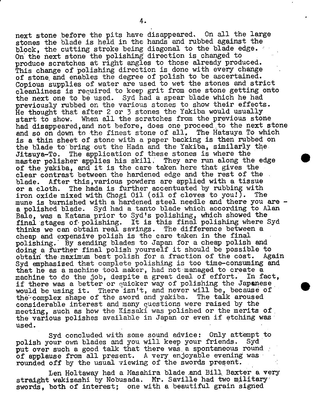next stone before the pits have disappeared. On all the large stones the blade is held in the hands and rubbed against the block, the cutting stroke being diagonal to the blade edge. On the next stone the polishing direction is changed to produce scratches at right angles to those already produced. This change of polishing direction is done with every change of stone and enables the degree of polish to be ascertained. Copious supplies of water are used to wet the stones and strict cleanliness is required to keep grit from one stone getting onto the next one to be used. Syd had a spear blade which he had previously rubbed on the various stones to show their effects. He thought that after 2 or 3 stones the Yakiba would usually start to show. When all the scratches from the previous stone had disappeared, and not before, does one proceed to the next stone and so on down to the finest stone of all. The Hatsuya To which is a thin sheet of stone with a paper backing is then rubbed on the blade to bring out the Hada and the Yakiba, similarly the Jitsuya-To. The application of these stones is where the master polisher applies his skill: They are run along the edge of the yakiba, and it is the care taken here that gives the clear contrast between the hardened edge and the rest of the blade. After this, various powders are applied with a tissue or a cloth. The hada is further accentuated by rubbing with iron oxide mixed with Chogi Oil (oil of cloves to you!). The mune is burnished with a hardened steel needle and there you are a polished blade. Syd had a tanto blade which according to Alan Bale, was a Katana prior to Syd's polishing, which showed the final stages of' polishing. It is this final polishing where Syd thinks we can obtain real savings. The difference between a cheap and expensive polish is the care taken in the final polishing.' By sending blades to Japan for a cheap polish and doing a further final polish yourself it should be possible to obtain the maximum best polish for a fraction of the cost. Again Syd emphasized that complete polishing is too time-consuming and that he as a machine tool maker, had not managed to create a machine to do the job. despite a great deal of effort. In fact, machine to do the job, despite a great deal of effort. if there was a better or quicker way of polishing the Japanese would be using it. There isn't, and never will be, because of thè'-complex shape of the sword and yakiba. The talk aroused considerable interest and many questions were raised by the meeting, such as how the Kissaki was polished or the merits of, the various polishes available in Japan or even if etching was used.

Syd concluded with some sound advice: Only attempt to polish your own blades and you will keep your friends. Syd put over such a good talk that there was a spontaneous round of applause from all present. A very enjoyable evening was rounded off by the usual viewing of the swords present.

Len Holtaway had a Masahira blade end Bill, Dexter a very straight wakizashi by Nobusada. Mr. Saville had two military swords, both of interest; one with a beautiful grain signed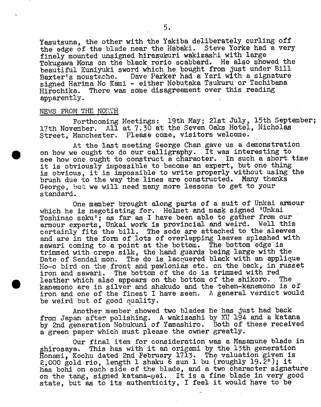Yasutsuna, the other with the Yakiba deliberately curling off the edge of the blade near the Habaki. Steve Yorke had a very finely mounted unsigned hirazukuri wakizashi with large Tokugawa Mona on the black rorio scabbard. He also showed the beautiful Kuniyuki sword which he bought from just under Bill Baxter's moustache. Dave Parker had a Yari with a signature signed Harima No Kami - either Nobutaka Tsukuru or Tachibana Hirochika. There was some disagreement over this reading apparently.

## NEWS PROM THE NORTH

 $\bullet$ 

Forthcoming Meetings: 19th May; 21st July, 15th September; 17th November. All at 7.30 at the Seven Oaks Hotel, Nicholas Street, Manchester. Please come, visitors welcome.

At the last meeting George Chan gave us a demonstration on how we ought to do our calligraphy. It was interesting to see how one ought to construct a character. In such a short time it is obviously impossible to become an expert, but one thing is obvious, it is impossible to write properly without using the brush due to the way the lines are constructed. Many thanks George, but we will need many more lessons to get to your standard.

One member brought along parts of a suit of Unkai amour which he is negotiating for. Helmet and mask signed 'Unkai Toshinao saku'; as far as I have been able to gather from our armour experts, Unkai work is provincial and weird. Well this certainly fits the bill. The sode are attached to the sleeves and are in the form of lots of overlapping leaves splashed with sawari coming to a point at the bottom. The bottom edge is trimmed with crepe silk, the hand guards being large with the Date of Sendai mon. The do is lacquered black with an applique Ho-o bird on the front and pawlonias etc. on the back, in russet iron and sawari. The bottom of the do is trimmed with red<br>leather which also annears on the bottom of the shikoro. The leather which also appears on the bottom of the shikoro. kanemono are in silver and shakudo and the tehen-kanemono is of iron and one of the finest I have seen. A general verdict would be weird but of good quality.

Another member showed two blades he has just had back from Japan after polishing. A wakizashi by KU 194 and a katana by 2nd generation Nobukuni of Yamashiro. Both of these received a green paper which must please the owner greatly.

Our final item for consideration was a Masamune blade in shirosaya. This has with it an origami by the 13th generation Honami, Kochu dated 2nd February 1713. The valuation given is 2,000 gold rio, length 1 shaku 6 sun 1 bu (roughly 19.2"); it has bohi on each side of the blade, and a two character signature on the tang, signed katana-mei. It is a fine blade in very good state, but as to its authenticity, I feel it would have to be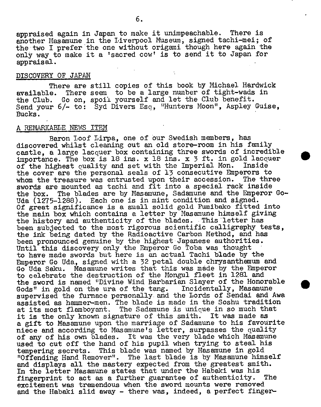appraised again in Japan to make it unimpeachable. There is another Masamune in the Liverpool Museum, signed tachi-mei; of the two I prefer the one without origami though here again the only way to make it a tsacred **COWt** is to send it to Japan for appraisal.

## DISCOVERY OF JAPAN

There are still copies of this book by Michael Hardwick available. There seem to be a large number of tight-wads in the Club. Go on, spoil yourself and let the Club benefit. Send your 6/- to: Syd Divers Esq, "Hunters Moon", Aspley Guise, Bucks.

## A REMARKABLE NEWS ITEM

Baron Loof Lirpa, one of our Swedish members, has discovered whilst cleaning out an old store-room in his family castle, a large lacquer box containing three swords of incredible importance. The box is 18 ins.  $x$  18 ins.  $x$  3 ft. in gold lacquer of the highest quality and set with the Imperial Mon. Inside  $\overline{of}$  the highest quality and set with the Imperial Mon. the cover are the personal seals of 13 consecutive Emperors to whom the treasure was entrusted upon their accession. The three swords are mounted as tachi and fit into a special rack inside the box. The blades are by Masamune, Sadamune and the Emperor Go-Uda (1275-1288). Each one is in mint condition and signed. Of great significance is a small solid gold Fumibako fitted into the main box which contains a letter by Masamune himself giving the history and authenticity of the blades. This letter has been subjected to the most rigorous scientific calligraphy tests, the ink being dated by the Radioactive Carbon Method, and has been pronounced genuine by the highest Japanese authorities. Until this discovery only the Emperor Go Toba was thought to have made swords but here is an actual Tachi blade by the Emperor Go Uda, signed with a 32 petal double chrysanthemum and Go Uda Saku. Masamune writes that this was made by the Emperor to celebrate the destruction of the Mongul fleet in 1281 and the sword is named "Divine Wind Barbarian Slayer of the Honorable Gods" in gold on the ura of the tang. Incidentally, Masamune supervised the furnace personally, and the Lords of Sendai. and Awa assisted as hammer-men. The blade is made in the Soshu tradition at its most flamboyant. The Sadamune is unique in so much that it is the only known signature of this smith. It was made as a gift to Masamune upon the marriage of Sadamune to his favourite niece and according to Masamune's letter, surpasses the quality of any of his own blades. It was the very blade which Masamune used to cut off the hand of his pupil when trying to steal his tempering secrets.. This blade was named by Masamune in gold "Offending Hand Remover". The last blade is by Masamune himself and displays all the mastery expected from the greatest smith. In the letter Masamune states that under the Habaki was his fingerprint to act as a further guarantee of authenticity. The excitement was tremendous when the sword mounts were removed and the Habaki slid away - there was, indeed, a perfect finger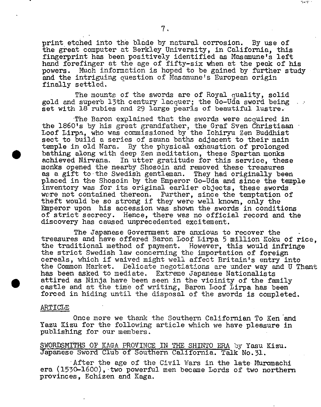print etched into the blade by natural corrosion. By use of the great computer at Berkley University, in California, this fingerprint has been positively identified as Masamune's left hand forefinger at the age of fifty-six when at the peak of his powers. Much information is hoped to be gained by further study and the intriguing question of Masamune's European origin finally settled.

 $\mathcal{A} \in \mathcal{N}$  .

The mounts of the swords are of Royal quality, solid gold and superb 13th century lacquer; the Go-Uda sword being  $\therefore$ set with 18 rubies and 29 large pearls of beautiful lustre.

The Baron explained that the swords were acquired in the 1860's by his great grandfather, the Graf Sven Christiaan Loof Lirpa, who was commissioned by the Ichiryu Zen Buddhist sect to build a series of sauna baths adjacent to their main temple in old Nara. By the physical exhaustion of prolonged bathing along with deep Zen meditation, these Spartan monks achieved Nirvana. In utter gratitude for this service, these monks opened the nearby Shosoin and removed these treasures as a gift to the Swedish gentleman. They had originally been placed in the Shosoin by the Emperor Go-Uda and since the temple inventory was for its original earlier objects, these swords. were not contained thereon. Further, since the temptation of theft would be so strong if they were well known, only the Emperor upon his accession was shown the swords in conditions of strict secrecy. Hence, there was no official record and the discovery has caused unprecedented excitement.

The Japanese Government are anxious to recover the treasures and have offered Baron Loof Lirpa 5 million Koku of rice. the traditional method of payment. However, this would infringe the strict Swedish law concerning the importation of foreign cereals, which if waived might well affect Britain's entry into the Common Market. Delicate negotiations are under way and U Thant has been asked to mediate. Extreme Japanese Nationalists ettired as Ninja have been seen in the vicinity of the family castle and at the time of writing, Baron Loof Lirpa has been forced in hiding until the disposal of the swords is completed.

### ARTICLE

 $\bullet$ 

Once more we thank the Southern Californian To Ken and Yazu Kizu for the following article which we have pleasure in publishing for our members.

SWORDSMITHS OF KAGA PROVINCE IN THE SHINTO ERA by Yasu Kizu. Japanese Sword Club of Southern California. Talk No.31.

• After the age of the Civil Wars in the late Muromachi era  $(1530-1600)$ , two powerful men became Lords of two northern provinces, Echizen and Kaga.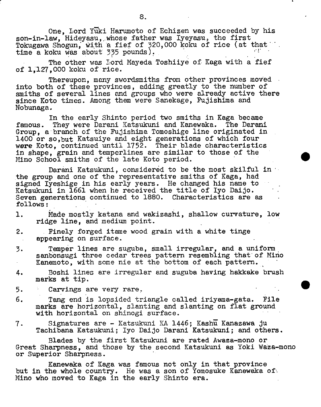One, Lord Yuki Harumoto of Echizen was succeeded by his son-in-law, Hideyasu, whose father was Iyeyasu, the first Tokugawa Shogun, with a fief of 320,000 koku of rice (at that time a koku was about 335 pounds).

The other was Lord Mayeda Toshiiye of Kaga with a fief of 1,127,000 koku of rice.

Thereupon, many swordsmiths from other provinces moved into both of these provinces, adding greatly to the number of smiths of several lines and groups who were already active there since Koto times. Among them were Sanekage, Fujishima and Nobunaga \*

In the early Shinto period two smiths in Kaga became famous. They were Darani Katsukuni and Kanewaka. The Darani Group, a branch of the Fujishima Tomoshige line originated in 1400 or so,but Katsuiye and eight generations of which four were Koto, continued until 1752. Their blade characteristics in shape, grain and temperlines are similar to those of the Mino School smiths of the late Koto period.

Darani Katsukuni, considered to be the most skilful in the group and one of the representative smiths of Kaga, had signed Iyeshige in his early years. He changed his name to Katsukuni in 1661 when he received the title of Iyo Daijo. Seven generations continued to 1880. Characteristics are as follows:

- 1. Made mostly katana and wakizashi, shallow curvature. low ridge line, and medium point.
- 2. Finely forged iteme wood grain with a white tinge appearing on surface.
- 3. Temper lines are suguba, small irregular, and a uniform sanbonsugi three cedar trees pattern resembling that of Mino Kanemoto, with some nie at the bottom of each pattern.
- 4. Boshi lines are irregular and suguba having hakkake brush marks at tip.

.

- 5. Carvings are very rare.
- 6. Tang end is lopsided triangle called iriyama-gata. Pile marks are horizontal, slanting and slanting on flat ground with horizontal on shinogi surface.
- 7. Signatures are Katsukuni KA 1446; Kashu Kanazawa ju Tachibana Katsukuni; Iyo Daijo Darani Katsukuni; and others.

Blades by the first Katsukuni are rated Awaza-mono or Great Sharpness, and those by the second Katsukuni as Yoki Waza-mono or Superior Sharpness.

Kanewaka of Kaga was famous not only in that province but in the whole country. He was a son of Yomosuke Kanewaka of Mino who moved to Kaga in the early Shinto era.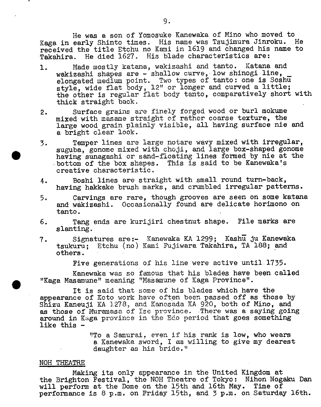He was a son of Yomosuke Kanewaka of Mino who moved to Kaga in early Shinto times. His name was Tsujimura Jinroku. He received the title Etchu no Kami in 1619 and changed his name to Takahira. He died 1627. His blade characteristics are:

- 1. Made mostly katana, wakizashi and tanto. Katana and wakizashi shapes are - shallow curve, low shinogi line, elongated medium point. Two types of style, wide flat body, 12" or longer the other is regular flat body tanto, comparatively short with thick straight back. tanto: one is Soshu and curved a little;
- 2. Surface grains are finely forged wood or burl mokume mixed with masame straight of rather coarse texture, the large wood grain plainly visible, all having surface nie and a bright clear look.
- 3. Temper lines are large notare wavy mixed with irregular, suguba, gonome mixed with choji, and large box-shaped gonome • having sunagashi or sand-floating lines fonned by nie at the bottom of the box shapes. This is said to be Kanewaka's creative characteristic.
- 4. Boshi lines are straight with small round turn-back, having hakkake brush marks, and crumbled irregular patterns.
- 5. Carvings are rare, though grooves are seen on some katana and wákizashi. Occasionally found are delicate horimono on tanto.
- 6. Tang ends are kurijiri chestnut shape. File marks are slanting.
- 7. Signatures are:- Kanewaka KA 1299; Kashu ju Kanewaka tsukuru; Etchu (no) Kami Fujiwara Takahira, TA 188; and others. others. The contract of  $\mathcal{L}$  is the contract of  $\mathcal{L}$  is the contract of  $\mathcal{L}$

Five generations of his line were active until. 1735.

Kanewaka was so famous that his blades have been called "Kaga Masamune" meaning "Masamune of Kaga Province".

It is said that some of his blades which have the appearance of Koto work have often been passed off as those by Shizu Kaneuji KA 1278, and Kanesada KA 920, both of Mino, and as those of Muramasa of Ise province. There was a saying going around in Kaga province in the Edo period that goes something like this -

> "!To a Samurai, even if his rank is low, who wears a Kanewaka. sword, I em willing to give my dearest daughter as his bride."

### NOH THEATRE

Making its only appearance in the United Kingdom at the Brighton Festival, the NOM Theatre of Tokyo: Nihon Nogaku Dan will perform at the Dome on the 15th and 16th May. Time of performance is 8 p.m. on Friday 15th, and 3 p.m. on Saturday 16th.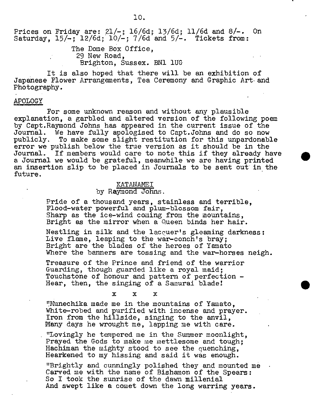10.

Prices on Friday are: 21/-; 16/6d; 13/6d; 11/6d and 8/-. On Saturday,  $15/-$ ;  $12/6d$ ;  $10/-$ ;  $7/6d$  and  $5/-$ . Tickets from:

> The Dome Box Office, 29 New Road, Brighton, Sussex. BN1 1UG

It is also hoped that there will be an exhibition of Japanese Flower Arrangements, Tea Ceremony and Graphic Art and Photography.

## APOLOGY

For some unknown reason and without any plausible explanation, a garbled and altered version of the following poem by Capt.Raymond Johns has appeared in the current issue of the Journal. We have fully apologised to Capt.Johns and do so now publicly. To make some slight restitution for this unpardonable error we publish below the true version as it should be in the Journal. If members would care to note this if they already have a Journal we would be grateful, meanwhile we are having printed an insertion slip to be placed in Journals to be sent out in the future.

#### ICATA1MEI

## by Raymond Johns.

Pride of a thousand years, stainless and terrible, Flood-water powerful and plum-blossom fair, Sharp as the ice-wind coming from the mountains, Bright as the mirror when a Queen binds her hair.

Nestling in silk and the lacquer's gleaming darkness: Live flame, leaping to the war-conch's bray; Bright are the blades of the heroes of Yamato Where the banners are tossing and the war-horses neigh.

Treasure of the Prince and friend of the warrior Guarding, though guarded like a royal maid; Touchstone of honour and pattern of perfection - Hear, then, the singing of a Samurai blade!<br> $\begin{array}{ccc}\nx & x & x\n\end{array}$ 

 $x$   $x$   $x$ 

'Nunechika made me in the mountains of Yamato, White-robed and purified with incense and prayer. Iron from the hillside, singing to the anvil, Many days he wrought me, lapping me with care.

"Lovingly he tempered me in the Summer moonlight, Prayed the Gods to make me mettlesome and tough: Hachiman the mighty stood to see the quenching, Hearkened to my hissing and said it was enough.

"Brightly and cunningly polished they and mounted me Carved me with the name of Bishamon of the Spears: So I took the sunrise of the dawn millenial And swept like a comet down the long warring years.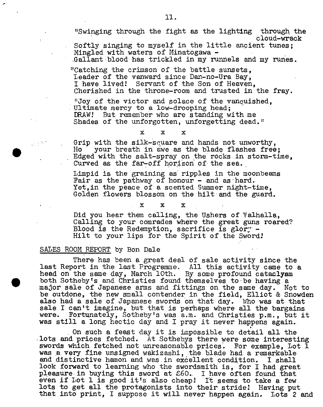"Swinging through the fight as the lighting through the cloud-wrack

Softly singing to myself in the little ancient tunes; Mingled with waters of Minatogawa -

Gallant blood has trickled in my runnels and my runes.

'Catching the crimson of the battle sunsets, leader of the vanward since Dan-no-Ura Bay, I have lived! Servant of the Son of Heaven, Cherished in the throne-room and trusted in the fray.

"Joy of the victor and solace of the vanguished. Ultimate mercy to a low-drooping head;<br>DRAW! But remember who are standing with me Shades of the unforgotten, unforgetting dead."

 $\mathbf{x}$   $\mathbf{x}$   $\mathbf{x}$ 

Grip with the silk-square and hands not unworthy,<br>Ho your breath in awe as the blade flashes free; x x x<br>
Edged with the silk-square and hands not unworthy,<br>
Ho your breath in awe as the blade flashes free;<br>
Edged with the salt-spray on the rocks in storm-time, Curved as the far-off horizon of the sea.

> Limpid is the graining as ripples in the moonbeams Fair as the pathway of honour - and as hard. Yet,in the peace of a scented Summer night-time, Golden flowers blossom on the hilt and the guard.<br> $x \times x$

Did you hear them calling, the Ushers of Valhalla, Calling to your comrades where the great guns roared? Blood is the Redemption, sacrifice is glory  $-$ Hilt to your lips for the Spirit of the Sword!

## SALES ROOM REPORT by Bon Dale

•

There has been a great deal of sale activity since the last Report in the last Programme. All this activity came to a head on the same day, March 10th. By some profound cataclysm both Sotheby's and Christies found themselves to be having a major sale of Japanese arms and fittings on the same day. Not to be outdone, the new small contender in the field, Elliot & Snowden also had a sale of Japanese swords on that day. Who was at that sale I can't imagine, but that is perhaps where all the bargains were. Fortunately, Sotheby's was a.m. and Christies p.m., but it was still a long hectic day and I pray it never happens again..

On such a feast day it is impossible to detail all the lots and prices fetched. At Sothebys there were some interesting swords which fetched not unreasonable prices. For example, Lot 1 was a very fine unsigned wakizashi, the blade had a remarkable and distinctive hamon and was in excellent condition. I shall look forward to learning who the swordsmith is, for I had great pleasure in buying this sword at £60. I have often found that even if Lot 1 is good it's also cheap! It seems to take a few. lots to get all the protagonists into their stride! Having put that into print, I suppose it will never happen again. Lots 2 and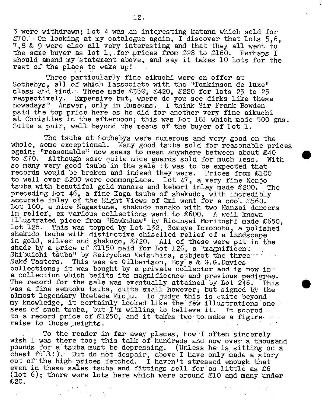3were withdrawn; Lot 4 was an interesting katana which sold for  $E70.$  On looking at my catalogue again, I discover that Lots 5.6. 7 , 8 & 9 were also all very interesting and that they all went to the same buyer as lot 1, for prices from £28 to £160. Perhaps I should amend my statement above, and say it takes 10 lots for the rest of the place to wake up!

Three particularly fine aikuchi were on offer at Sothebys, all of which Iassociate with the "Tomkinson de luxe" class and kind.: These made £350, £420, £220 for lots 23 to 25 respectively. . Expensive but, where do you see dirks like these nowadays? Answer, only in Museums. I think Sir Frank Bowden paid the top price here as he did for another very fine aikuchi at Christies in the afternoon; this was Lot 181 which made 500 gns. Quite a pair, well beyond the means of the buyer of Lot 1.

The tsuba at Sothebys were numerous and very good on the whole, some exceptional. Many good tsuba sold for reasonable prices again; "reasonable" now seems to mean anywhere between about  $\mathcal{E}40$ to £70. Although some quite nice guards sold for much less. With so many very good tsuba in the sale it was to be expected that records would be broken and indeed they were. Prices from £100 to well over £200 were commonplace. Lot 47, a very fine Kenjo tsuba with beautiful gold nunome and kebori inlay made £200. The preceding Lot 46, a fine Kaga tsuba of shakudo, with incredibly accurate inlay of the Eight Views of Omi went for a cool 2560. Lot 100, a nice Nagastune, shakudo nanako with two Manzai dancers in relief, ex various collections went to £600. A well known illustrated piece from "Hawkshaw" by Riounsai Moritoshi. made £650, Lot 128. This was topped by Lot 132, Someya Tomonobu, a polished shakudo tsuba with distinctive chiselled relief of a landscape in gold, silver and shakudo, £720. All of these were put in the shade by a price of £1150 paid for lot 126, a "magnificent Shibuichi tsuba" by Seiryoken Katsuhira, subject the three Sake Tasters. This was ex Gilbertson, Boyle & G.G.Davies collections; it was bought by a private collector and is now in a collection which befits its magnificence and previous pedigree. The record for the sale was eventually attained by Lot 246. This was a fine sentolcu tsuba, quite small however, but signed by the almost legendary Umetada Mioju. To judge this is quite beyond my knowledge, it certainly looked like the few illustrations one sees of such tsuba, but I'm willing to believe it. It soared to a record price of £1250, and it takes two to make a figure raise to those heights.

To the reader in far away places, how I often sincerely wish I was there too; this talk of hundreds and now over a thousand pounds for a tsuba must be depressing. (Unless he is sitting on a chest full!). But do not despair, above I have only made a story out of the high prices fetched. I haven't stressed enough that even in these sales tsuba and fittings sell for as little as  $£6$ (lot 6); there were lots here which were around £10 and many under £20.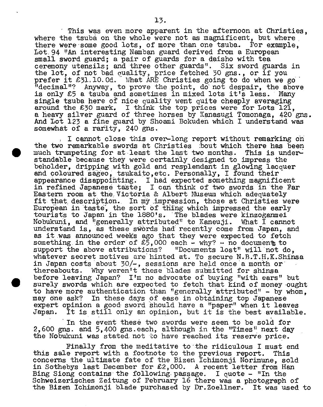This was even more apparent in the afternoon at Christies, where the tsuba on the whole were not as magnificent, but where there were some good lots, of more than one tsuba. For example, Lot. 94 "An interesting Namban guard derived from a European small sword guard; a pair of guards for a daisho with tea ceremony utensils; and three other guards". Six sword guards in the lot, of not bad quality, price fetched 30 gns., or if you prefer it £31.10.0d. What ARE Christies going to do when we go "decimal"? Anyway, to prove the point, do not despair, the above is only £5 a tsuba and sometimes in mixed lots it's less. Many single tsuba here of nice quality went quite cheaply averaging around the £30 mark. I think the top prices were for Lots 121, a heavy silver guard of three horses by Kanasugi Tomonaga, 420 *gus.*  And Lot 123 a fine guard by Shoami Bokuden which I understand was somewhat of a rarity, 240 gns.

I cannot close this over-long report without remarking on the two remarkable swords at Christies :bout which there has been • much trumpeting for at least the last two months. This is understandable because they were certainly designed to impress the beholder, dripping with gold and resplendant in glowing lacquer and coloured sageo, tsukaito, etc. Personally, I found their appearance disappointing. I had expected something magnificent in refined Japanese taste; I can think of two swords in the Par Eastern room at the Victoria & Albert Museum which adequately fit that description. In my impression, those at Christies were European in taste, the sort of thing which impressed the early tourists to Japan in the 1880's. The blades were kinzoganmei Nobukuni, and "generally attributed" to Kaneuji. What  $\tilde{I}$  cannot understand is, as these swords had recently come from Japan, and as it was announced weeks ago that they were expected to fetch something in the order of  $\&5,000$  each - why? - no documents to support the above attributions? "Documents lost" will not do, whatever secret motives are hinted at. To secure N.B.T.H.K.Shinsa in Japan costs about 30/-, sessions are held once a month or thereabouts. Why weren't these blades submitted for shinsa before leaving Japan? I'm no advocate of buying "with ears" but surely swords which are expected to fetch that kind of money ought to have more authentication than "generally attributed" - by whom, may one ask? In these days of ease in obtaining top Japanese expert opinion a good sword should have a "paper" when it leaves Japan. It is still only an opinion, but it is the best available.

In the event these two swords were seen to be sold for 2,600 gns. and 5,400 gns.each, although in the "Times" next day the Nobukuni was stated. not to have reached its reserve price.

Finally from the meditative to the ridiculous I must end this sale report with a footnote to the previous report. This concerns the ultimate fate of the Bizen Ichimonji Norimune, sold in Sothebys last December for £2,000. A recent letter from Han Bing Siong contains the following passage. I quote  $-$  "In the Schweizerisches Zeitung of February 16 there was a photograph of the Bizen Ichimonji blade purchased by Dr.Zoellner. It was used to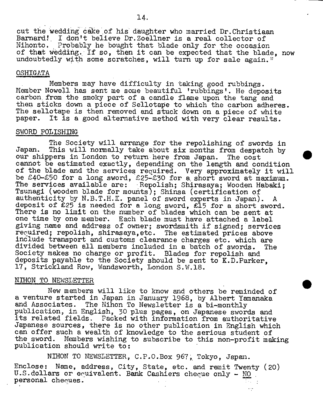cut the wedding cake of his daughter who married Dr. Christiaan Barnard! I don't believe Dr.Zoellner is a real collector of Nihonto. Probably he bought that blade only for the occasion of that wedding. If so, then it can be expected that the blade, now undoubtedly with some scratches, will turn up for sale again.<sup>*</sup>* 

## OSHIGATA

Members may have difficulty in taking good rubbings. Member Nowell has sent me some beautiful 'rubbings'. He deposits carbon, from the smoky part of a candle flame upon the tang and then sticks down a piece of Sellotape to which the carbon adheres. The sellotape is then removed and stuck down on a piece of white paper. It is a good alternative method with very clear results.

#### SWORD POLISHING

The Society will arrange for the repolishing of swords in Japan. This will normally take about **six** months from despatch by our shippers in London to return here from Japan. The cost cannot be estimated exactly, depending on the length and condition of the blade and the services required. Very approximately it will be £40-£50 for a long sword, £25-£30 for a short sword at maximum. The services available are: Repolish; Shirasaya; Wooden Habaki; Tsunagi (wooden blade for mounts); Shinsa (certification of authenticity by N.B.T.H.K. panel of sword experts in Japan). A deposit of £25 is needed for a long sword, £15 for a short sword. There is no limit on the number of blades which can be sent at one time by one member. Each blade must have attached a label giving name and address of owner; swordsmith if signed; services recuired; repolish, shirasaya, etc. The estimated prices above include transport and customs clearance charges etc. which are divided between all members included in a batch of swords. The Society makes no charge or profit. Blades for repolish and deposits payable to the Society should be sent to K.D.Parker, 17, Strickland Row, Wandsworth, London S.W.18.

#### NIHON TO NEWSLETTER

New members will like to know and others be reminded of a venture started in Japan in January 1968, by Albert Yamanaka and Associates. The Nihon To Newsletter is a bi-monthly publication, in English, 30 plus pages, on Japanese swords and its related fields. Packed with information from authoritative Japanese sources, there is no other publication in English which can offer such a wealth of knowledge to the serious student of the sword. Members wishing to subscribe to this non-profit making publication should write to:

NIHON TO NEWSLETTER, C.P.O.Box 967; Tokyo, Japan. Enclose: Name, address, City, State, etc. and remit Twenty (20) U.S.dollars or equivalent. Bank Cashiers cheque only - NO personal cheques.  $\sim$ 

 $\sim$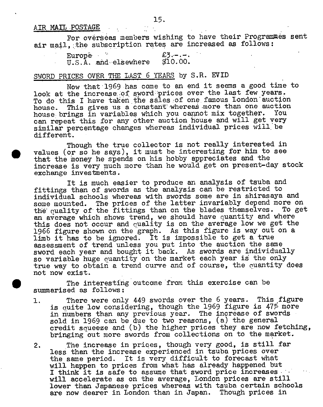## AIR MAIL POSTAGE

For overseas members wishing to have their Programmes sent air mail, the subscription rates are increased as follows:

| Europê i |                               | . £3. – . – . |
|----------|-------------------------------|---------------|
|          | $U.S.\bar{A}$ . and elsewhere | \$10.00.      |

# SWORD PRICES OVER THE LAST 6 YEARS by S.R. EVID

Now that 1969 has come to an end it seems a good time to look at the increase of sword prices over the last few years. To do this I have taken the sales of one famous London auction house. This gives us a constant whereas more than one auction<br>house brings in variables which you cannot mix together. You house brings in variables which you cannot mix together. can repeat this for any other auction house and will get very similar percentage changes whereas individual prices will be different.

Though the true collector is not really interested in values (or so he says), it must be interesting for him to see that the money he spends on his hobby appreciates and the increase is very much more than he would get on present-day stock exchange investments.

It is much easier to produce an analysis of tsuba and fittings than of swords as the analysis can be restricted to individual schools whereas with swords some are in shirasaya and some mounted. The prices of the latter invariably depend more on the' quality of the fittings than on the blades themselves. To get an average which shows trend, we should have quantity and where this does not occur and quality is on the average low we get the 1966 figure shown on the graph. As this figure is way out on a limb it has to be ignored. It is impossible to get a true assessment of trend unless you put into the auction the same sword each year and bought it back. As swords are individually so variable huge quantity on the market each year is the only true way to obtain a trend curve and of course, the quantity does not now exist.

The interesting outcome from this exercise can be summarised as follows:

1. There were only 449 swords over the 6 years. This figure is quite low considering, though the 1969 figure is  $47\%$  more in numbers than any previous year. The increase of swords sold in 1969 can be due to two reasons, (a) the general credit squeeze and (b) the higher prices they are now fetching, bringing out more swords from collections on to the market.

2. The increase in prices, though very good, is still far less than the increase experienced in tsuba prices over the same period. It is very difficult to forecast what will happen to prices from what has already happened but I think it is safe to assume that sword price increases will accelerate as on the average, London prices are still lower than Japanese prices whereas with tsuba certain schools are now dearer in London than in Japan. Though prices in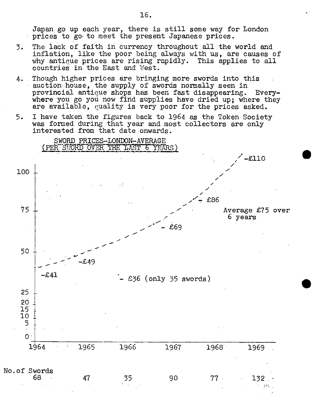Japan go up each year, there is still some way for London prices to go to meet the present Japanese prices.

- 3. The lack of faith in currency throughout all the world and inflation, like the poor being always with us, are causes of why antique prices are rising rapidly. This applies to all why antique prices are rising rapidly. countries in the East and West.
- 4. Though higher prices are bringing more swords into this auction house, the supply of swords normally seen in provincial antiaue shops has been fast disappearing. Everywhere you go you now find supplies have dried up; where they are available, quality is very poor for the prices asked.
- 5. I have taken the figures back to 1964 as the Token Society was formed during that year and most collectors are only interested from that date onwards.



 $\bullet$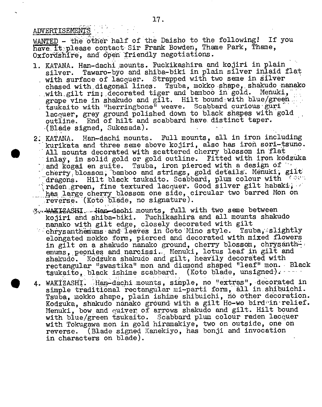**ADVERTISEMENTS** 

 $\bullet$ 

WANTED - the other half of the Daisho to the following! If you have. It please contact Sir Frank Bowden, Thame Park, Thame, Oxfordshire, and open friendly negotiations.

- 1. KATANA. Han-dachi mounts. Fuckikashira and kojiri in plain silver. Tawaro-byo and shiba-biki in plain silver inlaid flat with surface of lacquer. Strapped with two seme in silver chased with diagonal lines. Tsuba, mokko shape, shakudo nanako with gilt rim; decorated tiger and bamboo in gold. Menuki, grape vine in shakudo and gilt. Hilt bound with blue/green. tsukaito with "herringbone" weave. Scabbard curious guri lacquer, grey ground polished down to black shapes with gold outline. End of hilt and scabbard have distinct taper. (Blade signed, Sukesada).
- 2. KATANA. Han-dachi mounts. Full mounts, all in iron including kurikata and three seme above kojiri, also has iron sori-tsuno. All mounts decorated with scattered cherry blossom in flat inlay, in solid gold or gold outline. Fitted with iron kodzuka and kogai en suite. Tsuba, iron pierced with a design of - cherry blossom, bamboo and strings, gold details. Menuki, gilt  $\Box$ dragons. Hilt black tsukaito. Scabbard, plum colour with raden green, fine textured lacquer. Good silver gilt habaki, hes large cherry blossom one side, circular two barred Mon on reverse. (Koto blade, no signature).
- 3. WAKIZASHI. Han-dachi mounts, full with two seme between kojiri and shiba-biki. Puchikashira and all mounts shakudo nanako with gilt edge, closely decorated with gilt<br>chrysanthemums and leaves in Goto Mino style. Tsuba, slightly  $chrys$  anthemums and leaves in Goto Mino style. elongated mokko form, pierced and decorated with mixed flowers in gilt on a shakudo nanako ground, cherry blossom, chrysanthemums, peonies and narcissi. Menuki, lotus leaf in gilt and shakudo. Kodzuka shakudo and gilt, heavily decorated with rectangular "swastika" mon and diamond shaped "leaf" mon. Black tsukaito, black ishime scabbard. (Koto blade, unsigned). ....
- 4. WAKIZASHI. Han-dachi mounts, simple, no "extras", decorated in simple traditional rectangular mi-parti form, all in shibuichi. Tsuba, mokko shape, plain ishime shibuichi, no other decoration. Kodzuka, shakudo nànako ground with a gilt Ho-wo bird'in relief. Menuki, bow and qutver of arrows shakudo and gilt. Hilt bound with blue/green tsukaito. Scabbard plum colour raden lacquer with Tokugawa mon in gold hiramakiye, two on outside, one on reverse. (Blade signed Kanekiyo, has bonji and invocation in characters on blade).